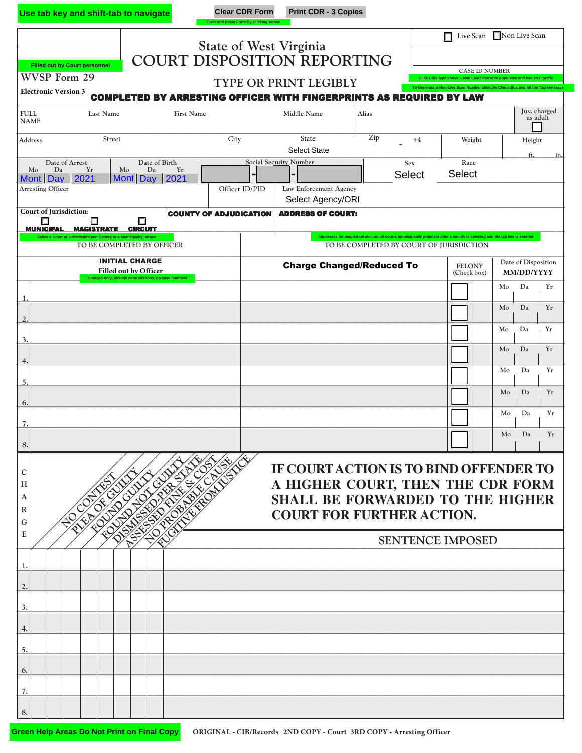|                                                                                                                                                                                                                                                                          | Use tab key and shift-tab to navigate                                                                          |                               | <b>Clear CDR Form</b><br><b>Clear and Reset Form By Clicking Above</b> | <b>Print CDR - 3 Copies</b>                 |                      |                              |                                                                                                                                                                                       |  |  |  |  |
|--------------------------------------------------------------------------------------------------------------------------------------------------------------------------------------------------------------------------------------------------------------------------|----------------------------------------------------------------------------------------------------------------|-------------------------------|------------------------------------------------------------------------|---------------------------------------------|----------------------|------------------------------|---------------------------------------------------------------------------------------------------------------------------------------------------------------------------------------|--|--|--|--|
|                                                                                                                                                                                                                                                                          |                                                                                                                |                               | <b>State of West Virginia</b>                                          |                                             |                      | Live Scan Non Live Scan<br>П |                                                                                                                                                                                       |  |  |  |  |
| <b>Filled out by Court personnel</b>                                                                                                                                                                                                                                     |                                                                                                                |                               |                                                                        | COURT DISPOSITION REPORTING                 |                      |                              |                                                                                                                                                                                       |  |  |  |  |
| WVSP Form 29                                                                                                                                                                                                                                                             |                                                                                                                |                               |                                                                        | TYPE OR PRINT LEGIBLY                       |                      |                              | <b>CASE ID NUMBER</b><br>Click CDR type above -- Non Live Scan auto populates and has an E prefix<br>To Generate a Non-Live Scan Number click the Check Box and hit the Tab key twice |  |  |  |  |
| <b>Electronic Version 3</b><br><b>COMPLETED BY ARRESTING OFFICER WITH FINGERPRINTS AS REQUIRED BY LAW</b>                                                                                                                                                                |                                                                                                                |                               |                                                                        |                                             |                      |                              |                                                                                                                                                                                       |  |  |  |  |
| <b>FULL</b><br><b>NAME</b>                                                                                                                                                                                                                                               | Last Name                                                                                                      | <b>First Name</b>             |                                                                        | Middle Name                                 | Alias                |                              | Juv. charged<br>as adult                                                                                                                                                              |  |  |  |  |
| Address                                                                                                                                                                                                                                                                  | Street                                                                                                         | City                          |                                                                        | <b>State</b><br><b>Select State</b>         | Zip                  | $+4$<br>Weight               | Height<br>ft.<br>in.                                                                                                                                                                  |  |  |  |  |
| Date of Arrest<br>Mo<br>Da<br>Yr<br>Mont Day 2021                                                                                                                                                                                                                        | Date of Birth<br>Mo<br>Da<br>Mont Day                                                                          | Yr<br>2021                    | <b>Social Security Number</b>                                          |                                             | Sex<br><b>Select</b> | Race<br>Select               |                                                                                                                                                                                       |  |  |  |  |
| <b>Arresting Officer</b>                                                                                                                                                                                                                                                 |                                                                                                                | Officer ID/PID                |                                                                        | Law Enforcement Agency<br>Select Agency/ORI |                      |                              |                                                                                                                                                                                       |  |  |  |  |
| Court of Jurisdiction:<br>Ω<br><u>MUNICIPAL</u>                                                                                                                                                                                                                          | ш<br><b>MAGISTRATE</b><br><b>CIRCUIT</b>                                                                       | <b>COUNTY OF ADJUDICATION</b> |                                                                        | <b>ADDRESS OF COURT:</b>                    |                      |                              |                                                                                                                                                                                       |  |  |  |  |
| Addresses for magistrate and circuit courts automatically populate after a county is selected and the tab key is entered<br>Select a Court of Jurisdiction and County or a Municipality, above<br>TO BE COMPLETED BY COURT OF JURISDICTION<br>TO BE COMPLETED BY OFFICER |                                                                                                                |                               |                                                                        |                                             |                      |                              |                                                                                                                                                                                       |  |  |  |  |
|                                                                                                                                                                                                                                                                          | <b>INITIAL CHARGE</b><br><b>Filled out by Officer</b><br>Charges only, include code citations, no case numbers |                               |                                                                        | <b>Charge Changed/Reduced To</b>            |                      | <b>FELONY</b><br>(Check box) | Date of Disposition<br>MM/DD/YYYY                                                                                                                                                     |  |  |  |  |
| 1.                                                                                                                                                                                                                                                                       |                                                                                                                |                               |                                                                        |                                             |                      |                              | Da<br>Mo<br>Yr<br>Da<br>Yr                                                                                                                                                            |  |  |  |  |
| $\overline{2}$                                                                                                                                                                                                                                                           |                                                                                                                |                               |                                                                        |                                             |                      |                              | Mo<br>Mo<br>Da<br>Yr                                                                                                                                                                  |  |  |  |  |
| 3.                                                                                                                                                                                                                                                                       |                                                                                                                |                               |                                                                        |                                             |                      |                              | Da<br>Mo<br>Yr                                                                                                                                                                        |  |  |  |  |
| 4.<br>5.                                                                                                                                                                                                                                                                 |                                                                                                                |                               |                                                                        |                                             |                      |                              | Mo<br>Da<br>Yr                                                                                                                                                                        |  |  |  |  |
| 6.                                                                                                                                                                                                                                                                       |                                                                                                                |                               |                                                                        |                                             |                      |                              | Mo<br>Da<br>Yr                                                                                                                                                                        |  |  |  |  |
| 7.                                                                                                                                                                                                                                                                       |                                                                                                                |                               |                                                                        |                                             |                      |                              | Da<br>Yr<br>Mo                                                                                                                                                                        |  |  |  |  |
| 8.                                                                                                                                                                                                                                                                       |                                                                                                                |                               |                                                                        |                                             |                      |                              | Mo<br>Da<br>Yr                                                                                                                                                                        |  |  |  |  |
| C                                                                                                                                                                                                                                                                        |                                                                                                                |                               |                                                                        | IF COURT ACTION IS TO BIND OFFENDER TO      |                      |                              |                                                                                                                                                                                       |  |  |  |  |
| н<br>A                                                                                                                                                                                                                                                                   | OTICIDA                                                                                                        |                               |                                                                        |                                             |                      |                              | A HIGHER COURT, THEN THE CDR FORM<br><b>SHALL BE FORWARDED TO THE HIGHER</b>                                                                                                          |  |  |  |  |
| R<br>G                                                                                                                                                                                                                                                                   | 110 PROBY                                                                                                      |                               |                                                                        | <b>COURT FOR FURTHER ACTION.</b>            |                      |                              |                                                                                                                                                                                       |  |  |  |  |
| E                                                                                                                                                                                                                                                                        | <b>PSSE</b>                                                                                                    |                               |                                                                        |                                             |                      | <b>SENTENCE IMPOSED</b>      |                                                                                                                                                                                       |  |  |  |  |
| -1.                                                                                                                                                                                                                                                                      |                                                                                                                |                               |                                                                        |                                             |                      |                              |                                                                                                                                                                                       |  |  |  |  |
| 2.                                                                                                                                                                                                                                                                       |                                                                                                                |                               |                                                                        |                                             |                      |                              |                                                                                                                                                                                       |  |  |  |  |
| 3.                                                                                                                                                                                                                                                                       |                                                                                                                |                               |                                                                        |                                             |                      |                              |                                                                                                                                                                                       |  |  |  |  |
| 4.<br>5.                                                                                                                                                                                                                                                                 |                                                                                                                |                               |                                                                        |                                             |                      |                              |                                                                                                                                                                                       |  |  |  |  |
| 6.                                                                                                                                                                                                                                                                       |                                                                                                                |                               |                                                                        |                                             |                      |                              |                                                                                                                                                                                       |  |  |  |  |
| 7.                                                                                                                                                                                                                                                                       |                                                                                                                |                               |                                                                        |                                             |                      |                              |                                                                                                                                                                                       |  |  |  |  |
| 8.                                                                                                                                                                                                                                                                       |                                                                                                                |                               |                                                                        |                                             |                      |                              |                                                                                                                                                                                       |  |  |  |  |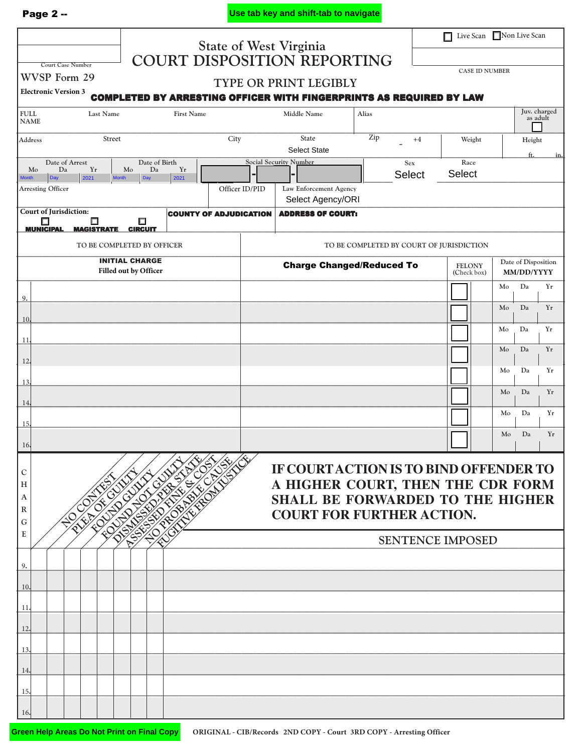|--|--|

**Use tab key and shift-tab to navigate**

|                                                                                                                                   |                                 | Live Scan Non Live Scan<br>$\Box$ |                                                                       |               |                         |                |                              |  |  |  |  |
|-----------------------------------------------------------------------------------------------------------------------------------|---------------------------------|-----------------------------------|-----------------------------------------------------------------------|---------------|-------------------------|----------------|------------------------------|--|--|--|--|
| <b>Court Case Number</b>                                                                                                          |                                 | <b>State of West Virginia</b>     | COURT DISPOSITION REPORTING                                           |               |                         |                |                              |  |  |  |  |
| WVSP Form 29                                                                                                                      |                                 |                                   | <b>CASE ID NUMBER</b><br>TYPE OR PRINT LEGIBLY                        |               |                         |                |                              |  |  |  |  |
| <b>Electronic Version 3</b><br><b>COMPLETED BY ARRESTING OFFICER WITH FINGERPRINTS AS REQUIRED BY LAW</b>                         |                                 |                                   |                                                                       |               |                         |                |                              |  |  |  |  |
| <b>FULL</b><br>Last Name<br><b>NAME</b>                                                                                           | <b>First Name</b>               |                                   | Middle Name                                                           | Alias         |                         |                | Juv. charged<br>as adult     |  |  |  |  |
| Street<br>Address                                                                                                                 |                                 | City                              | State<br><b>Select State</b>                                          | Zip           | $+4$                    | Weight         | Height<br>ft<br><u>in.</u>   |  |  |  |  |
| Date of Arrest<br>Da<br>Yr<br>Mo                                                                                                  | Date of Birth<br>Da<br>Yr<br>Mo |                                   | <b>Social Security Number</b>                                         | Sex<br>Select |                         | Race<br>Select |                              |  |  |  |  |
| 2021<br><b>Month</b><br>Day<br>Month<br><b>Arresting Officer</b>                                                                  | 2021<br>Day                     | Officer ID/PID                    | Law Enforcement Agency<br>Select Agency/ORI                           |               |                         |                |                              |  |  |  |  |
| <b>Court of Jurisdiction:</b><br>π<br>□                                                                                           | □                               | <b>COUNTY OF ADJUDICATION</b>     | <b>ADDRESS OF COURT:</b>                                              |               |                         |                |                              |  |  |  |  |
| <b>MUNICIPAL</b><br><b>CIRCUIT</b><br><b>MAGISTRATE</b><br>TO BE COMPLETED BY COURT OF JURISDICTION<br>TO BE COMPLETED BY OFFICER |                                 |                                   |                                                                       |               |                         |                |                              |  |  |  |  |
|                                                                                                                                   | <b>INITIAL CHARGE</b>           |                                   | <b>Charge Changed/Reduced To</b>                                      | <b>FELONY</b> | Date of Disposition     |                |                              |  |  |  |  |
|                                                                                                                                   | Filled out by Officer           |                                   |                                                                       |               |                         | (Check box)    | MM/DD/YYYY<br>Da<br>Yr<br>Mo |  |  |  |  |
| 9.                                                                                                                                |                                 |                                   |                                                                       |               |                         |                | Yr<br>Da<br>Mo               |  |  |  |  |
| 10.                                                                                                                               |                                 |                                   |                                                                       |               |                         |                | Da<br>Yr<br>Mo               |  |  |  |  |
| 11.                                                                                                                               |                                 |                                   |                                                                       |               |                         |                | Da<br>Yr<br>Mo               |  |  |  |  |
| 12.                                                                                                                               |                                 |                                   |                                                                       |               |                         |                | Da<br>Yr<br>Mo               |  |  |  |  |
| 13.                                                                                                                               |                                 |                                   |                                                                       |               |                         |                | Da<br>Mo<br>Yr               |  |  |  |  |
| 14.                                                                                                                               |                                 |                                   |                                                                       |               |                         |                | Da<br>Yr<br>Mo               |  |  |  |  |
| 15.                                                                                                                               |                                 |                                   |                                                                       |               |                         |                | Yr<br>Mo<br>Da               |  |  |  |  |
| 16.                                                                                                                               |                                 |                                   |                                                                       |               |                         |                |                              |  |  |  |  |
| C                                                                                                                                 |                                 | CAUSE                             | IF COURT ACTION IS TO BIND OFFENDER TO                                |               |                         |                |                              |  |  |  |  |
| н<br>A                                                                                                                            | 611                             |                                   | A HIGHER COURT, THEN THE CDR FORM<br>SHALL BE FORWARDED TO THE HIGHER |               |                         |                |                              |  |  |  |  |
| ${\bf R}$                                                                                                                         | PROB'                           |                                   | <b>COURT FOR FURTHER ACTION.</b>                                      |               |                         |                |                              |  |  |  |  |
| G<br>E                                                                                                                            | <b>ASSESSED</b>                 |                                   |                                                                       |               | <b>SENTENCE IMPOSED</b> |                |                              |  |  |  |  |
|                                                                                                                                   |                                 |                                   |                                                                       |               |                         |                |                              |  |  |  |  |
| 9.<br>10.                                                                                                                         |                                 |                                   |                                                                       |               |                         |                |                              |  |  |  |  |
| 11.                                                                                                                               |                                 |                                   |                                                                       |               |                         |                |                              |  |  |  |  |
| 12.                                                                                                                               |                                 |                                   |                                                                       |               |                         |                |                              |  |  |  |  |
| 13.                                                                                                                               |                                 |                                   |                                                                       |               |                         |                |                              |  |  |  |  |
| 14.                                                                                                                               |                                 |                                   |                                                                       |               |                         |                |                              |  |  |  |  |
| 15.                                                                                                                               |                                 |                                   |                                                                       |               |                         |                |                              |  |  |  |  |
| 16.                                                                                                                               |                                 |                                   |                                                                       |               |                         |                |                              |  |  |  |  |